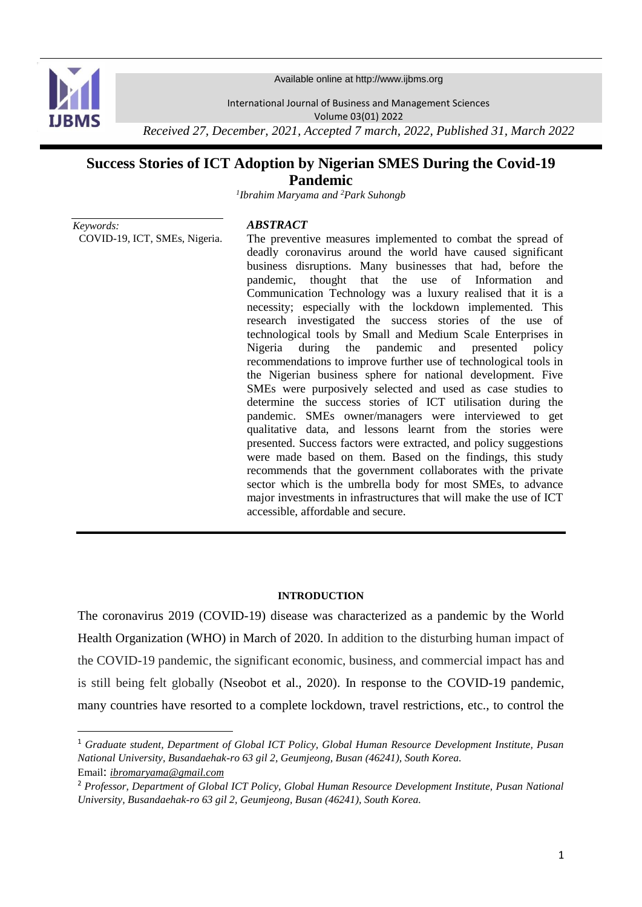

**.** 

Available online at http://www.ijbms.org

International Journal of Business and Management Sciences

Volume 03(01) 2022

*Received 27, December, 2021, Accepted 7 march, 2022, Published 31, March 2022*

# **Success Stories of ICT Adoption by Nigerian SMES During the Covid-19 Pandemic**

*1 Ibrahim Maryama and <sup>2</sup>Park Suhongb*

*Keywords:* COVID-19, ICT, SMEs, Nigeria.

#### *ABSTRACT*

The preventive measures implemented to combat the spread of deadly coronavirus around the world have caused significant business disruptions. Many businesses that had, before the pandemic, thought that the use of Information and Communication Technology was a luxury realised that it is a necessity; especially with the lockdown implemented. This research investigated the success stories of the use of technological tools by Small and Medium Scale Enterprises in Nigeria during the pandemic and presented policy recommendations to improve further use of technological tools in the Nigerian business sphere for national development. Five SMEs were purposively selected and used as case studies to determine the success stories of ICT utilisation during the pandemic. SMEs owner/managers were interviewed to get qualitative data, and lessons learnt from the stories were presented. Success factors were extracted, and policy suggestions were made based on them. Based on the findings, this study recommends that the government collaborates with the private sector which is the umbrella body for most SMEs, to advance major investments in infrastructures that will make the use of ICT accessible, affordable and secure.

#### **INTRODUCTION**

The coronavirus 2019 (COVID-19) disease was characterized as a pandemic by the World Health Organization (WHO) in March of 2020. In addition to the disturbing human impact of the COVID-19 pandemic, the significant economic, business, and commercial impact has and is still being felt globally (Nseobot et al., 2020). In response to the COVID-19 pandemic, many countries have resorted to a complete lockdown, travel restrictions, etc., to control the

<sup>1</sup> *Graduate student, Department of Global ICT Policy, Global Human Resource Development Institute, Pusan National University, Busandaehak-ro 63 gil 2, Geumjeong, Busan (46241), South Korea.* Email: *ibromaryama@gmail.com*

<sup>2</sup> *Professor, Department of Global ICT Policy, Global Human Resource Development Institute, Pusan National University, Busandaehak-ro 63 gil 2, Geumjeong, Busan (46241), South Korea.*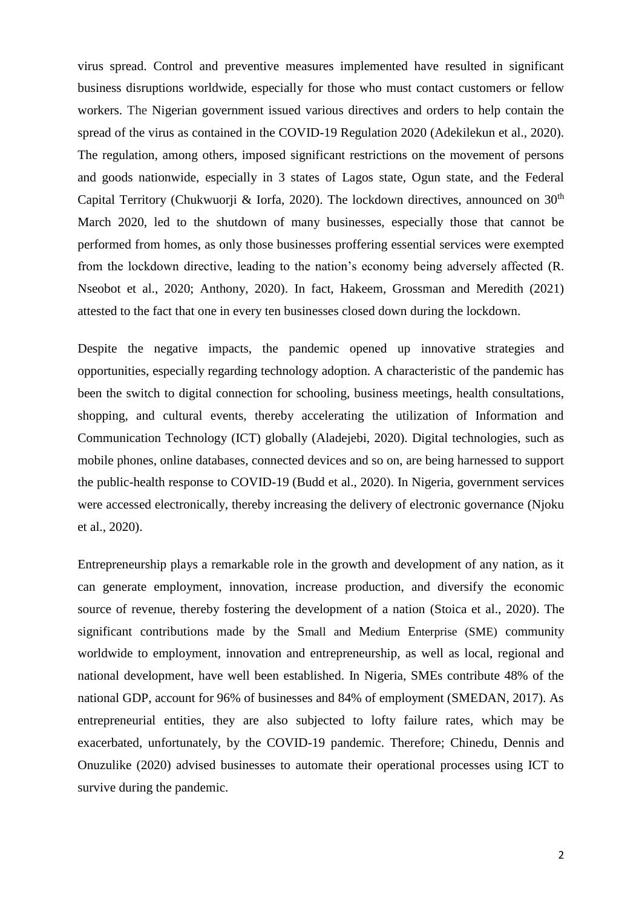virus spread. Control and preventive measures implemented have resulted in significant business disruptions worldwide, especially for those who must contact customers or fellow workers. The Nigerian government issued various directives and orders to help contain the spread of the virus as contained in the COVID-19 Regulation 2020 (Adekilekun et al., 2020). The regulation, among others, imposed significant restrictions on the movement of persons and goods nationwide, especially in 3 states of Lagos state, Ogun state, and the Federal Capital Territory (Chukwuorii & Iorfa, 2020). The lockdown directives, announced on 30<sup>th</sup> March 2020, led to the shutdown of many businesses, especially those that cannot be performed from homes, as only those businesses proffering essential services were exempted from the lockdown directive, leading to the nation's economy being adversely affected (R. Nseobot et al., 2020; Anthony, 2020). In fact, Hakeem, Grossman and Meredith (2021) attested to the fact that one in every ten businesses closed down during the lockdown.

Despite the negative impacts, the pandemic opened up innovative strategies and opportunities, especially regarding technology adoption. A characteristic of the pandemic has been the switch to digital connection for schooling, business meetings, health consultations, shopping, and cultural events, thereby accelerating the utilization of Information and Communication Technology (ICT) globally (Aladejebi, 2020). Digital technologies, such as mobile phones, online databases, connected devices and so on, are being harnessed to support the public-health response to COVID-19 (Budd et al., 2020). In Nigeria, government services were accessed electronically, thereby increasing the delivery of electronic governance (Njoku et al., 2020).

Entrepreneurship plays a remarkable role in the growth and development of any nation, as it can generate employment, innovation, increase production, and diversify the economic source of revenue, thereby fostering the development of a nation (Stoica et al., 2020). The significant contributions made by the Small and Medium Enterprise (SME) community worldwide to employment, innovation and entrepreneurship, as well as local, regional and national development, have well been established. In Nigeria, SMEs contribute 48% of the national GDP, account for 96% of businesses and 84% of employment (SMEDAN, 2017). As entrepreneurial entities, they are also subjected to lofty failure rates, which may be exacerbated, unfortunately, by the COVID-19 pandemic. Therefore; Chinedu, Dennis and Onuzulike (2020) advised businesses to automate their operational processes using ICT to survive during the pandemic.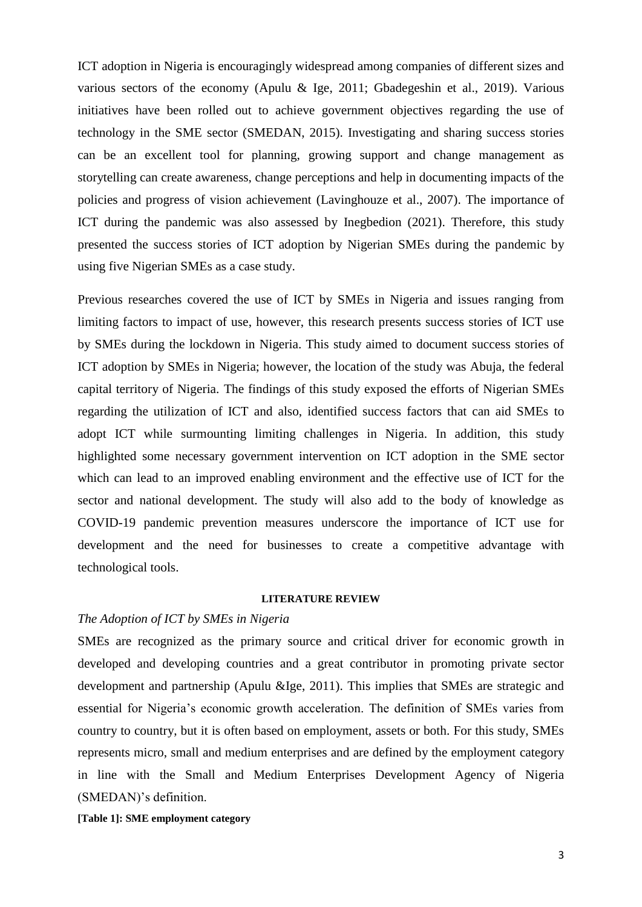ICT adoption in Nigeria is encouragingly widespread among companies of different sizes and various sectors of the economy (Apulu & Ige, 2011; Gbadegeshin et al., 2019). Various initiatives have been rolled out to achieve government objectives regarding the use of technology in the SME sector (SMEDAN, 2015). Investigating and sharing success stories can be an excellent tool for planning, growing support and change management as storytelling can create awareness, change perceptions and help in documenting impacts of the policies and progress of vision achievement (Lavinghouze et al., 2007). The importance of ICT during the pandemic was also assessed by Inegbedion (2021). Therefore, this study presented the success stories of ICT adoption by Nigerian SMEs during the pandemic by using five Nigerian SMEs as a case study.

Previous researches covered the use of ICT by SMEs in Nigeria and issues ranging from limiting factors to impact of use, however, this research presents success stories of ICT use by SMEs during the lockdown in Nigeria. This study aimed to document success stories of ICT adoption by SMEs in Nigeria; however, the location of the study was Abuja, the federal capital territory of Nigeria. The findings of this study exposed the efforts of Nigerian SMEs regarding the utilization of ICT and also, identified success factors that can aid SMEs to adopt ICT while surmounting limiting challenges in Nigeria. In addition, this study highlighted some necessary government intervention on ICT adoption in the SME sector which can lead to an improved enabling environment and the effective use of ICT for the sector and national development. The study will also add to the body of knowledge as COVID-19 pandemic prevention measures underscore the importance of ICT use for development and the need for businesses to create a competitive advantage with technological tools.

#### **LITERATURE REVIEW**

## *The Adoption of ICT by SMEs in Nigeria*

SMEs are recognized as the primary source and critical driver for economic growth in developed and developing countries and a great contributor in promoting private sector development and partnership (Apulu &Ige, 2011). This implies that SMEs are strategic and essential for Nigeria's economic growth acceleration. The definition of SMEs varies from country to country, but it is often based on employment, assets or both. For this study, SMEs represents micro, small and medium enterprises and are defined by the employment category in line with the Small and Medium Enterprises Development Agency of Nigeria (SMEDAN)'s definition.

**[Table 1]: SME employment category**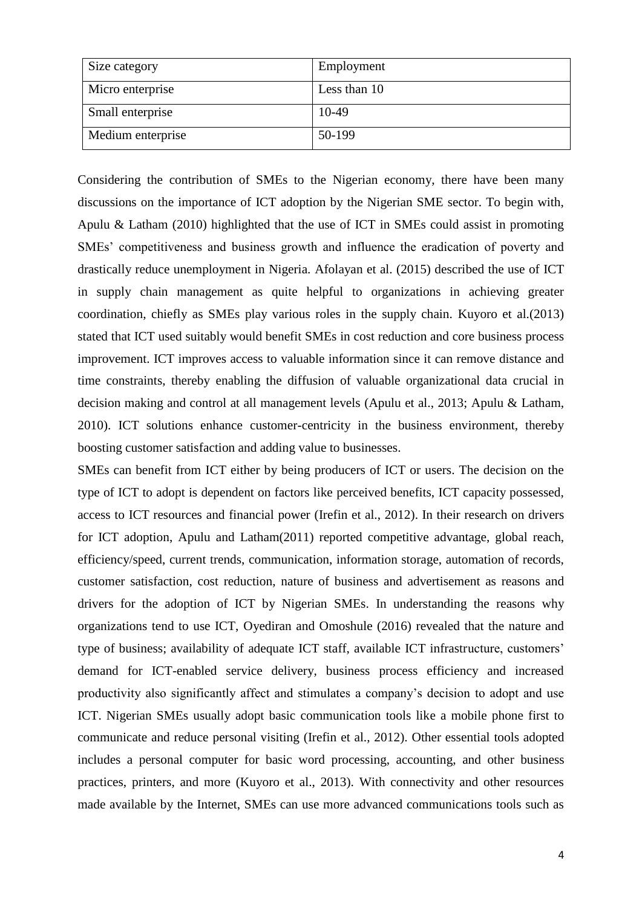| Size category     | Employment   |
|-------------------|--------------|
| Micro enterprise  | Less than 10 |
| Small enterprise  | 10-49        |
| Medium enterprise | 50-199       |

Considering the contribution of SMEs to the Nigerian economy, there have been many discussions on the importance of ICT adoption by the Nigerian SME sector. To begin with, Apulu & Latham (2010) highlighted that the use of ICT in SMEs could assist in promoting SMEs' competitiveness and business growth and influence the eradication of poverty and drastically reduce unemployment in Nigeria. Afolayan et al. (2015) described the use of ICT in supply chain management as quite helpful to organizations in achieving greater coordination, chiefly as SMEs play various roles in the supply chain. Kuyoro et al.(2013) stated that ICT used suitably would benefit SMEs in cost reduction and core business process improvement. ICT improves access to valuable information since it can remove distance and time constraints, thereby enabling the diffusion of valuable organizational data crucial in decision making and control at all management levels (Apulu et al., 2013; Apulu & Latham, 2010). ICT solutions enhance customer-centricity in the business environment, thereby boosting customer satisfaction and adding value to businesses.

SMEs can benefit from ICT either by being producers of ICT or users. The decision on the type of ICT to adopt is dependent on factors like perceived benefits, ICT capacity possessed, access to ICT resources and financial power (Irefin et al., 2012). In their research on drivers for ICT adoption, Apulu and Latham(2011) reported competitive advantage, global reach, efficiency/speed, current trends, communication, information storage, automation of records, customer satisfaction, cost reduction, nature of business and advertisement as reasons and drivers for the adoption of ICT by Nigerian SMEs. In understanding the reasons why organizations tend to use ICT, Oyediran and Omoshule (2016) revealed that the nature and type of business; availability of adequate ICT staff, available ICT infrastructure, customers' demand for ICT-enabled service delivery, business process efficiency and increased productivity also significantly affect and stimulates a company's decision to adopt and use ICT. Nigerian SMEs usually adopt basic communication tools like a mobile phone first to communicate and reduce personal visiting (Irefin et al., 2012). Other essential tools adopted includes a personal computer for basic word processing, accounting, and other business practices, printers, and more (Kuyoro et al., 2013). With connectivity and other resources made available by the Internet, SMEs can use more advanced communications tools such as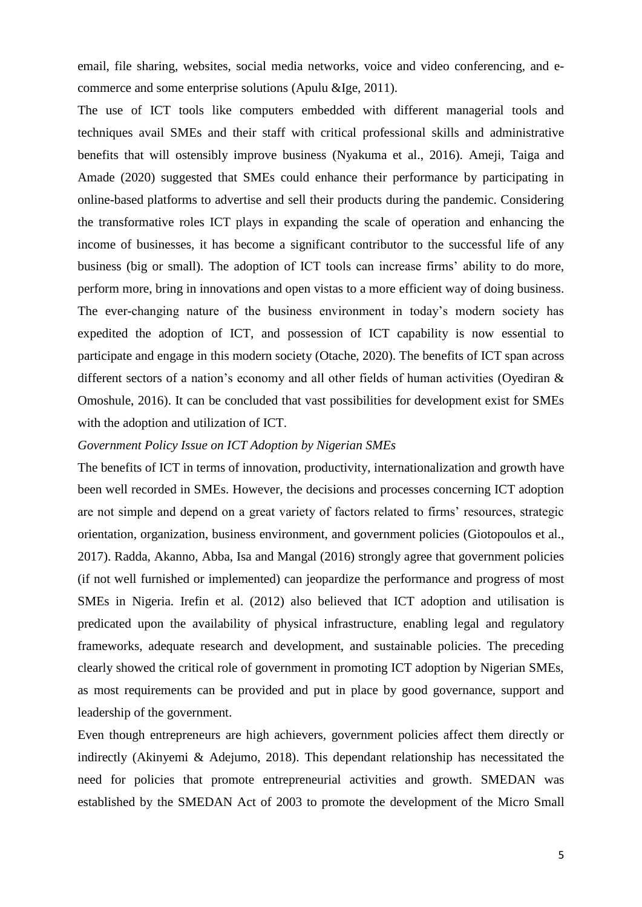email, file sharing, websites, social media networks, voice and video conferencing, and ecommerce and some enterprise solutions (Apulu &Ige, 2011).

The use of ICT tools like computers embedded with different managerial tools and techniques avail SMEs and their staff with critical professional skills and administrative benefits that will ostensibly improve business (Nyakuma et al., 2016). Ameji, Taiga and Amade (2020) suggested that SMEs could enhance their performance by participating in online-based platforms to advertise and sell their products during the pandemic. Considering the transformative roles ICT plays in expanding the scale of operation and enhancing the income of businesses, it has become a significant contributor to the successful life of any business (big or small). The adoption of ICT tools can increase firms' ability to do more, perform more, bring in innovations and open vistas to a more efficient way of doing business. The ever-changing nature of the business environment in today's modern society has expedited the adoption of ICT, and possession of ICT capability is now essential to participate and engage in this modern society (Otache, 2020). The benefits of ICT span across different sectors of a nation's economy and all other fields of human activities (Oyediran & Omoshule, 2016). It can be concluded that vast possibilities for development exist for SMEs with the adoption and utilization of ICT.

## *Government Policy Issue on ICT Adoption by Nigerian SMEs*

The benefits of ICT in terms of innovation, productivity, internationalization and growth have been well recorded in SMEs. However, the decisions and processes concerning ICT adoption are not simple and depend on a great variety of factors related to firms' resources, strategic orientation, organization, business environment, and government policies (Giotopoulos et al., 2017). Radda, Akanno, Abba, Isa and Mangal (2016) strongly agree that government policies (if not well furnished or implemented) can jeopardize the performance and progress of most SMEs in Nigeria. Irefin et al. (2012) also believed that ICT adoption and utilisation is predicated upon the availability of physical infrastructure, enabling legal and regulatory frameworks, adequate research and development, and sustainable policies. The preceding clearly showed the critical role of government in promoting ICT adoption by Nigerian SMEs, as most requirements can be provided and put in place by good governance, support and leadership of the government.

Even though entrepreneurs are high achievers, government policies affect them directly or indirectly (Akinyemi & Adejumo, 2018). This dependant relationship has necessitated the need for policies that promote entrepreneurial activities and growth. SMEDAN was established by the SMEDAN Act of 2003 to promote the development of the Micro Small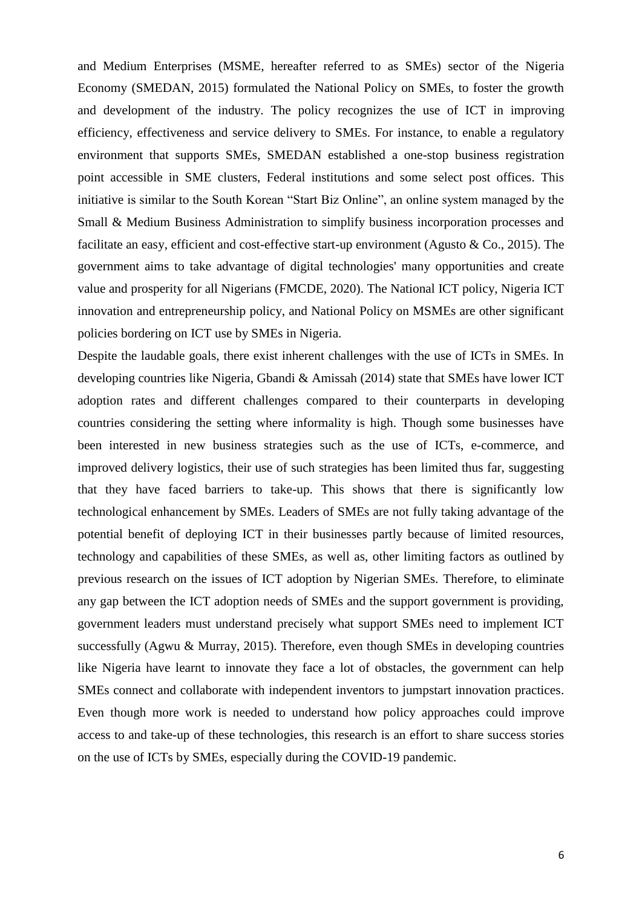and Medium Enterprises (MSME, hereafter referred to as SMEs) sector of the Nigeria Economy (SMEDAN, 2015) formulated the National Policy on SMEs, to foster the growth and development of the industry. The policy recognizes the use of ICT in improving efficiency, effectiveness and service delivery to SMEs. For instance, to enable a regulatory environment that supports SMEs, SMEDAN established a one-stop business registration point accessible in SME clusters, Federal institutions and some select post offices. This initiative is similar to the South Korean "Start Biz Online", an online system managed by the Small & Medium Business Administration to simplify business incorporation processes and facilitate an easy, efficient and cost-effective start-up environment (Agusto  $\&$  Co., 2015). The government aims to take advantage of digital technologies' many opportunities and create value and prosperity for all Nigerians (FMCDE, 2020). The National ICT policy, Nigeria ICT innovation and entrepreneurship policy, and National Policy on MSMEs are other significant policies bordering on ICT use by SMEs in Nigeria.

Despite the laudable goals, there exist inherent challenges with the use of ICTs in SMEs. In developing countries like Nigeria, Gbandi & Amissah (2014) state that SMEs have lower ICT adoption rates and different challenges compared to their counterparts in developing countries considering the setting where informality is high. Though some businesses have been interested in new business strategies such as the use of ICTs, e-commerce, and improved delivery logistics, their use of such strategies has been limited thus far, suggesting that they have faced barriers to take-up. This shows that there is significantly low technological enhancement by SMEs. Leaders of SMEs are not fully taking advantage of the potential benefit of deploying ICT in their businesses partly because of limited resources, technology and capabilities of these SMEs, as well as, other limiting factors as outlined by previous research on the issues of ICT adoption by Nigerian SMEs. Therefore, to eliminate any gap between the ICT adoption needs of SMEs and the support government is providing, government leaders must understand precisely what support SMEs need to implement ICT successfully (Agwu & Murray, 2015). Therefore, even though SMEs in developing countries like Nigeria have learnt to innovate they face a lot of obstacles, the government can help SMEs connect and collaborate with independent inventors to jumpstart innovation practices. Even though more work is needed to understand how policy approaches could improve access to and take-up of these technologies, this research is an effort to share success stories on the use of ICTs by SMEs, especially during the COVID-19 pandemic.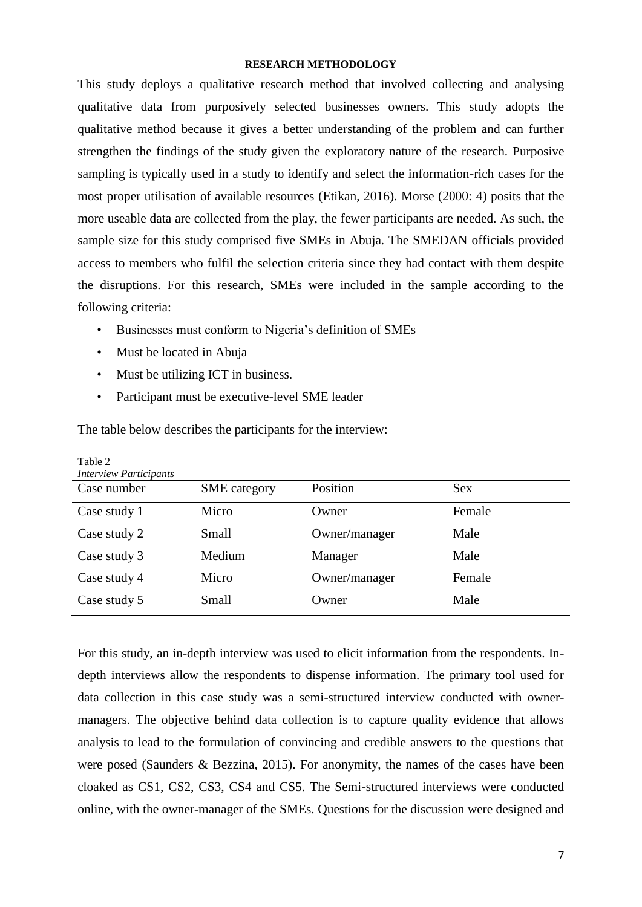## **RESEARCH METHODOLOGY**

This study deploys a qualitative research method that involved collecting and analysing qualitative data from purposively selected businesses owners. This study adopts the qualitative method because it gives a better understanding of the problem and can further strengthen the findings of the study given the exploratory nature of the research. Purposive sampling is typically used in a study to identify and select the information-rich cases for the most proper utilisation of available resources (Etikan, 2016). Morse (2000: 4) posits that the more useable data are collected from the play, the fewer participants are needed. As such, the sample size for this study comprised five SMEs in Abuja. The SMEDAN officials provided access to members who fulfil the selection criteria since they had contact with them despite the disruptions. For this research, SMEs were included in the sample according to the following criteria:

- Businesses must conform to Nigeria's definition of SMEs
- Must be located in Abuja

Table 2

- Must be utilizing ICT in business.
- Participant must be executive-level SME leader

The table below describes the participants for the interview:

| <b>Interview Participants</b> |               |            |  |  |  |  |
|-------------------------------|---------------|------------|--|--|--|--|
| <b>SME</b> category           | Position      | <b>Sex</b> |  |  |  |  |
| Micro                         | Owner         | Female     |  |  |  |  |
| Small                         | Owner/manager | Male       |  |  |  |  |
| Medium                        | Manager       | Male       |  |  |  |  |
| Micro                         | Owner/manager | Female     |  |  |  |  |
| Small                         | Owner         | Male       |  |  |  |  |
|                               |               |            |  |  |  |  |

For this study, an in-depth interview was used to elicit information from the respondents. Indepth interviews allow the respondents to dispense information. The primary tool used for data collection in this case study was a semi-structured interview conducted with ownermanagers. The objective behind data collection is to capture quality evidence that allows analysis to lead to the formulation of convincing and credible answers to the questions that were posed (Saunders & Bezzina, 2015). For anonymity, the names of the cases have been cloaked as CS1, CS2, CS3, CS4 and CS5. The Semi-structured interviews were conducted online, with the owner-manager of the SMEs. Questions for the discussion were designed and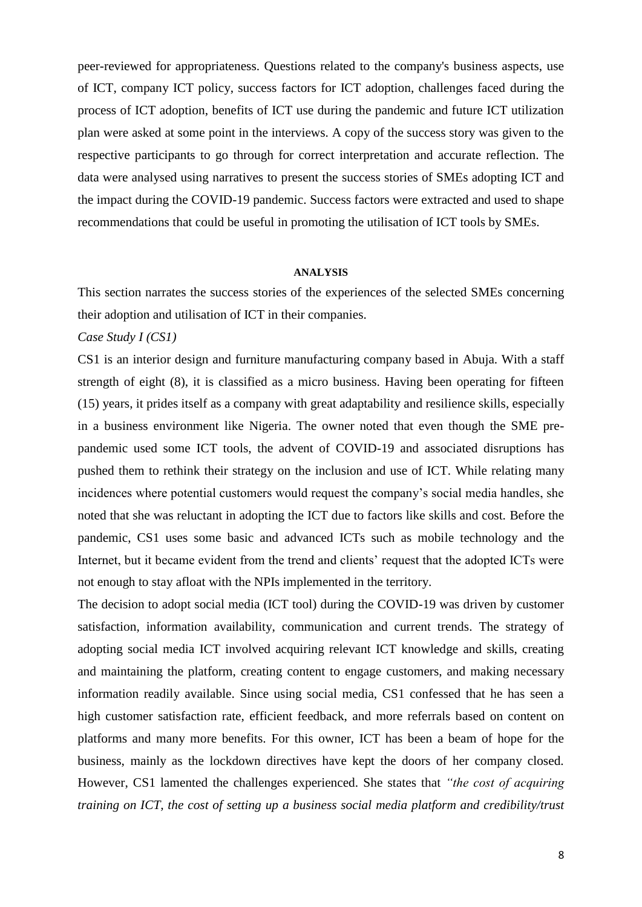peer-reviewed for appropriateness. Questions related to the company's business aspects, use of ICT, company ICT policy, success factors for ICT adoption, challenges faced during the process of ICT adoption, benefits of ICT use during the pandemic and future ICT utilization plan were asked at some point in the interviews. A copy of the success story was given to the respective participants to go through for correct interpretation and accurate reflection. The data were analysed using narratives to present the success stories of SMEs adopting ICT and the impact during the COVID-19 pandemic. Success factors were extracted and used to shape recommendations that could be useful in promoting the utilisation of ICT tools by SMEs.

#### **ANALYSIS**

This section narrates the success stories of the experiences of the selected SMEs concerning their adoption and utilisation of ICT in their companies.

## *Case Study I (CS1)*

CS1 is an interior design and furniture manufacturing company based in Abuja. With a staff strength of eight (8), it is classified as a micro business. Having been operating for fifteen (15) years, it prides itself as a company with great adaptability and resilience skills, especially in a business environment like Nigeria. The owner noted that even though the SME prepandemic used some ICT tools, the advent of COVID-19 and associated disruptions has pushed them to rethink their strategy on the inclusion and use of ICT. While relating many incidences where potential customers would request the company's social media handles, she noted that she was reluctant in adopting the ICT due to factors like skills and cost. Before the pandemic, CS1 uses some basic and advanced ICTs such as mobile technology and the Internet, but it became evident from the trend and clients' request that the adopted ICTs were not enough to stay afloat with the NPIs implemented in the territory.

The decision to adopt social media (ICT tool) during the COVID-19 was driven by customer satisfaction, information availability, communication and current trends. The strategy of adopting social media ICT involved acquiring relevant ICT knowledge and skills, creating and maintaining the platform, creating content to engage customers, and making necessary information readily available. Since using social media, CS1 confessed that he has seen a high customer satisfaction rate, efficient feedback, and more referrals based on content on platforms and many more benefits. For this owner, ICT has been a beam of hope for the business, mainly as the lockdown directives have kept the doors of her company closed. However, CS1 lamented the challenges experienced. She states that *"the cost of acquiring training on ICT, the cost of setting up a business social media platform and credibility/trust*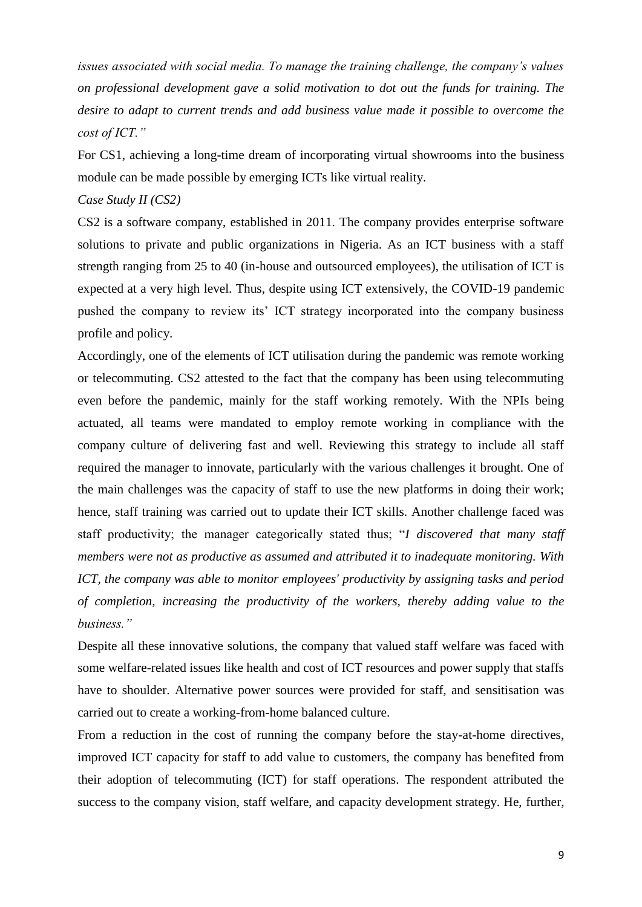*issues associated with social media. To manage the training challenge, the company's values on professional development gave a solid motivation to dot out the funds for training. The desire to adapt to current trends and add business value made it possible to overcome the cost of ICT."*

For CS1, achieving a long-time dream of incorporating virtual showrooms into the business module can be made possible by emerging ICTs like virtual reality.

#### *Case Study II (CS2)*

CS2 is a software company, established in 2011. The company provides enterprise software solutions to private and public organizations in Nigeria. As an ICT business with a staff strength ranging from 25 to 40 (in-house and outsourced employees), the utilisation of ICT is expected at a very high level. Thus, despite using ICT extensively, the COVID-19 pandemic pushed the company to review its' ICT strategy incorporated into the company business profile and policy.

Accordingly, one of the elements of ICT utilisation during the pandemic was remote working or telecommuting. CS2 attested to the fact that the company has been using telecommuting even before the pandemic, mainly for the staff working remotely. With the NPIs being actuated, all teams were mandated to employ remote working in compliance with the company culture of delivering fast and well. Reviewing this strategy to include all staff required the manager to innovate, particularly with the various challenges it brought. One of the main challenges was the capacity of staff to use the new platforms in doing their work; hence, staff training was carried out to update their ICT skills. Another challenge faced was staff productivity; the manager categorically stated thus; "*I discovered that many staff members were not as productive as assumed and attributed it to inadequate monitoring. With ICT, the company was able to monitor employees' productivity by assigning tasks and period of completion, increasing the productivity of the workers, thereby adding value to the business."*

Despite all these innovative solutions, the company that valued staff welfare was faced with some welfare-related issues like health and cost of ICT resources and power supply that staffs have to shoulder. Alternative power sources were provided for staff, and sensitisation was carried out to create a working-from-home balanced culture.

From a reduction in the cost of running the company before the stay-at-home directives, improved ICT capacity for staff to add value to customers, the company has benefited from their adoption of telecommuting (ICT) for staff operations. The respondent attributed the success to the company vision, staff welfare, and capacity development strategy. He, further,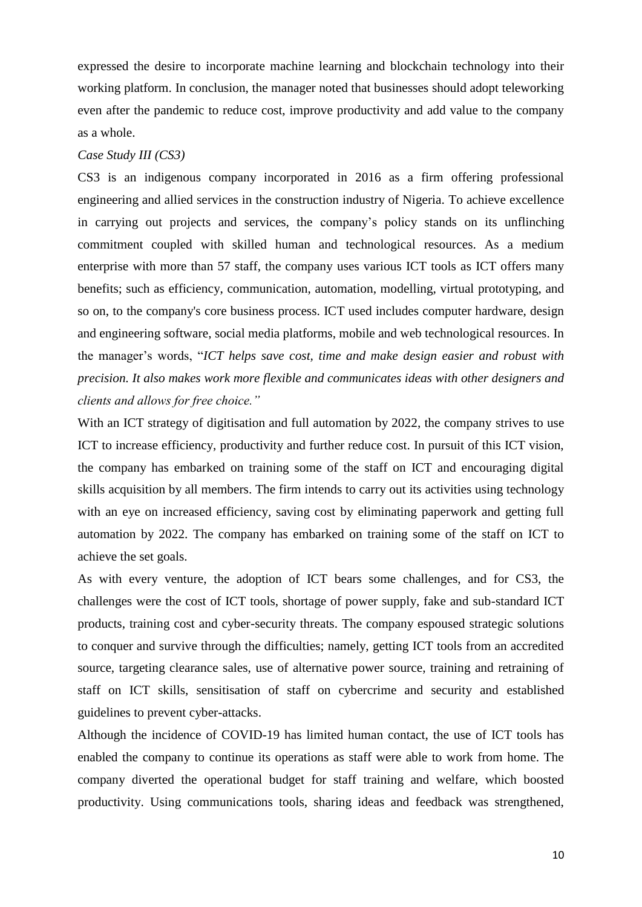expressed the desire to incorporate machine learning and blockchain technology into their working platform. In conclusion, the manager noted that businesses should adopt teleworking even after the pandemic to reduce cost, improve productivity and add value to the company as a whole.

## *Case Study III (CS3)*

CS3 is an indigenous company incorporated in 2016 as a firm offering professional engineering and allied services in the construction industry of Nigeria. To achieve excellence in carrying out projects and services, the company's policy stands on its unflinching commitment coupled with skilled human and technological resources. As a medium enterprise with more than 57 staff, the company uses various ICT tools as ICT offers many benefits; such as efficiency, communication, automation, modelling, virtual prototyping, and so on, to the company's core business process. ICT used includes computer hardware, design and engineering software, social media platforms, mobile and web technological resources. In the manager's words, "*ICT helps save cost, time and make design easier and robust with precision. It also makes work more flexible and communicates ideas with other designers and clients and allows for free choice."*

With an ICT strategy of digitisation and full automation by 2022, the company strives to use ICT to increase efficiency, productivity and further reduce cost. In pursuit of this ICT vision, the company has embarked on training some of the staff on ICT and encouraging digital skills acquisition by all members. The firm intends to carry out its activities using technology with an eye on increased efficiency, saving cost by eliminating paperwork and getting full automation by 2022. The company has embarked on training some of the staff on ICT to achieve the set goals.

As with every venture, the adoption of ICT bears some challenges, and for CS3, the challenges were the cost of ICT tools, shortage of power supply, fake and sub-standard ICT products, training cost and cyber-security threats. The company espoused strategic solutions to conquer and survive through the difficulties; namely, getting ICT tools from an accredited source, targeting clearance sales, use of alternative power source, training and retraining of staff on ICT skills, sensitisation of staff on cybercrime and security and established guidelines to prevent cyber-attacks.

Although the incidence of COVID-19 has limited human contact, the use of ICT tools has enabled the company to continue its operations as staff were able to work from home. The company diverted the operational budget for staff training and welfare, which boosted productivity. Using communications tools, sharing ideas and feedback was strengthened,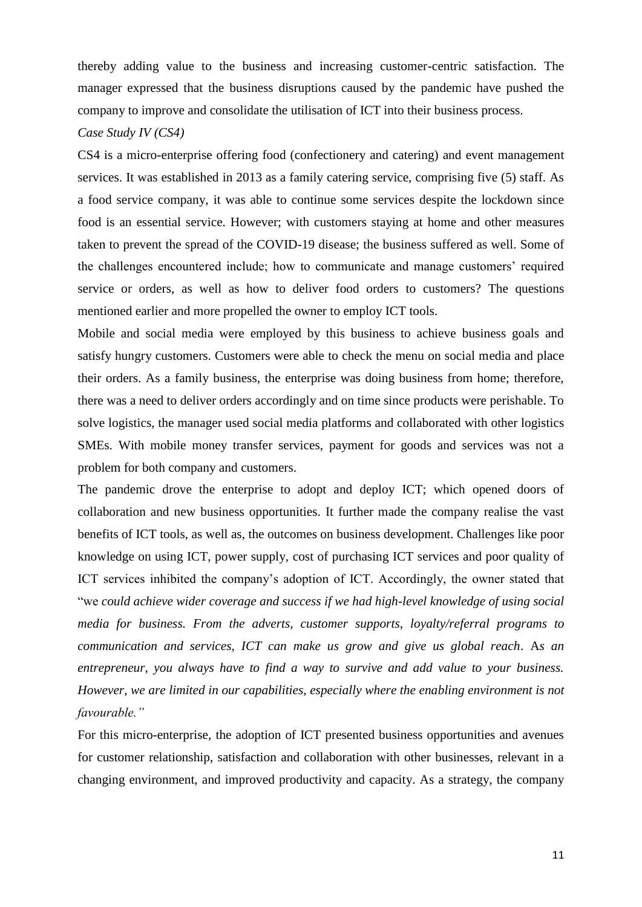thereby adding value to the business and increasing customer-centric satisfaction. The manager expressed that the business disruptions caused by the pandemic have pushed the company to improve and consolidate the utilisation of ICT into their business process.

## *Case Study IV (CS4)*

CS4 is a micro-enterprise offering food (confectionery and catering) and event management services. It was established in 2013 as a family catering service, comprising five (5) staff. As a food service company, it was able to continue some services despite the lockdown since food is an essential service. However; with customers staying at home and other measures taken to prevent the spread of the COVID-19 disease; the business suffered as well. Some of the challenges encountered include; how to communicate and manage customers' required service or orders, as well as how to deliver food orders to customers? The questions mentioned earlier and more propelled the owner to employ ICT tools.

Mobile and social media were employed by this business to achieve business goals and satisfy hungry customers. Customers were able to check the menu on social media and place their orders. As a family business, the enterprise was doing business from home; therefore, there was a need to deliver orders accordingly and on time since products were perishable. To solve logistics, the manager used social media platforms and collaborated with other logistics SMEs. With mobile money transfer services, payment for goods and services was not a problem for both company and customers.

The pandemic drove the enterprise to adopt and deploy ICT; which opened doors of collaboration and new business opportunities. It further made the company realise the vast benefits of ICT tools, as well as, the outcomes on business development. Challenges like poor knowledge on using ICT, power supply, cost of purchasing ICT services and poor quality of ICT services inhibited the company's adoption of ICT. Accordingly, the owner stated that "we *could achieve wider coverage and success if we had high-level knowledge of using social media for business. From the adverts, customer supports, loyalty/referral programs to communication and services, ICT can make us grow and give us global reach*. A*s an entrepreneur, you always have to find a way to survive and add value to your business. However, we are limited in our capabilities, especially where the enabling environment is not favourable."*

For this micro-enterprise, the adoption of ICT presented business opportunities and avenues for customer relationship, satisfaction and collaboration with other businesses, relevant in a changing environment, and improved productivity and capacity. As a strategy, the company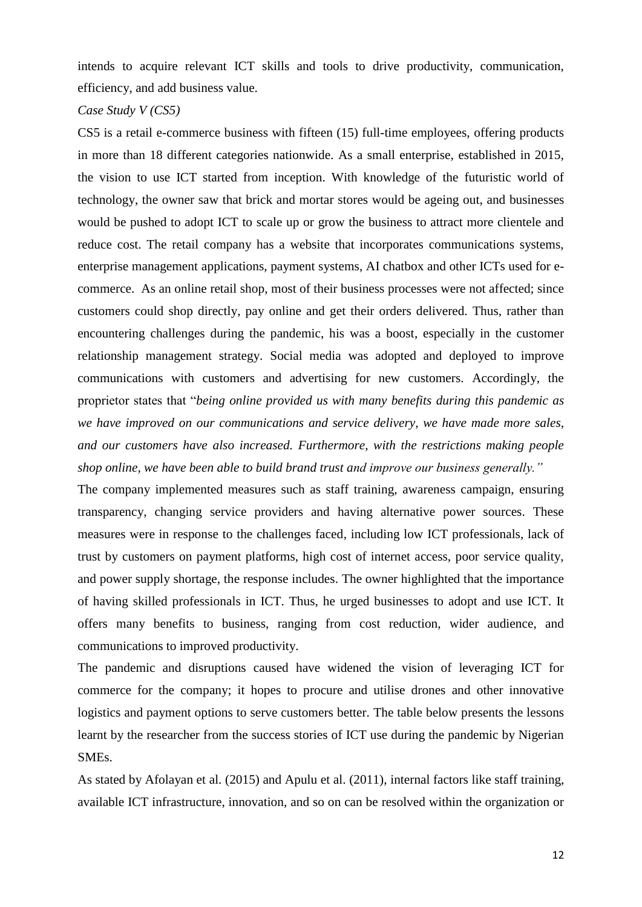intends to acquire relevant ICT skills and tools to drive productivity, communication, efficiency, and add business value.

## *Case Study V (CS5)*

CS5 is a retail e-commerce business with fifteen (15) full-time employees, offering products in more than 18 different categories nationwide. As a small enterprise, established in 2015, the vision to use ICT started from inception. With knowledge of the futuristic world of technology, the owner saw that brick and mortar stores would be ageing out, and businesses would be pushed to adopt ICT to scale up or grow the business to attract more clientele and reduce cost. The retail company has a website that incorporates communications systems, enterprise management applications, payment systems, AI chatbox and other ICTs used for ecommerce. As an online retail shop, most of their business processes were not affected; since customers could shop directly, pay online and get their orders delivered. Thus, rather than encountering challenges during the pandemic, his was a boost, especially in the customer relationship management strategy. Social media was adopted and deployed to improve communications with customers and advertising for new customers. Accordingly, the proprietor states that "*being online provided us with many benefits during this pandemic as we have improved on our communications and service delivery, we have made more sales, and our customers have also increased. Furthermore, with the restrictions making people shop online, we have been able to build brand trust and improve our business generally."*

The company implemented measures such as staff training, awareness campaign, ensuring transparency, changing service providers and having alternative power sources. These measures were in response to the challenges faced, including low ICT professionals, lack of trust by customers on payment platforms, high cost of internet access, poor service quality, and power supply shortage, the response includes. The owner highlighted that the importance of having skilled professionals in ICT. Thus, he urged businesses to adopt and use ICT. It offers many benefits to business, ranging from cost reduction, wider audience, and communications to improved productivity.

The pandemic and disruptions caused have widened the vision of leveraging ICT for commerce for the company; it hopes to procure and utilise drones and other innovative logistics and payment options to serve customers better. The table below presents the lessons learnt by the researcher from the success stories of ICT use during the pandemic by Nigerian SMEs.

As stated by Afolayan et al. (2015) and Apulu et al. (2011), internal factors like staff training, available ICT infrastructure, innovation, and so on can be resolved within the organization or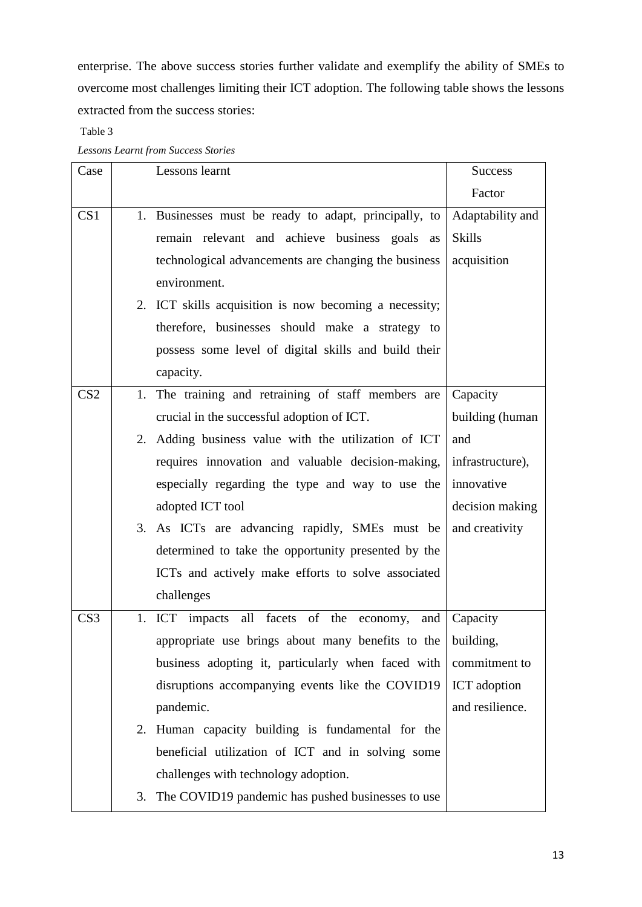enterprise. The above success stories further validate and exemplify the ability of SMEs to overcome most challenges limiting their ICT adoption. The following table shows the lessons extracted from the success stories:

Table 3

*Lessons Learnt from Success Stories*

| Case            |    | Lessons learnt                                              | <b>Success</b>   |
|-----------------|----|-------------------------------------------------------------|------------------|
|                 |    |                                                             | Factor           |
| CS <sub>1</sub> |    | 1. Businesses must be ready to adapt, principally, to       | Adaptability and |
|                 |    | remain relevant and achieve business goals as               | <b>Skills</b>    |
|                 |    | technological advancements are changing the business        | acquisition      |
|                 |    | environment.                                                |                  |
|                 |    | 2. ICT skills acquisition is now becoming a necessity;      |                  |
|                 |    | therefore, businesses should make a strategy to             |                  |
|                 |    | possess some level of digital skills and build their        |                  |
|                 |    | capacity.                                                   |                  |
| CS <sub>2</sub> |    | 1. The training and retraining of staff members are         | Capacity         |
|                 |    | crucial in the successful adoption of ICT.                  | building (human  |
|                 |    | 2. Adding business value with the utilization of ICT        | and              |
|                 |    | requires innovation and valuable decision-making,           | infrastructure), |
|                 |    | especially regarding the type and way to use the            | innovative       |
|                 |    | adopted ICT tool                                            | decision making  |
|                 |    | 3. As ICTs are advancing rapidly, SMEs must be              | and creativity   |
|                 |    | determined to take the opportunity presented by the         |                  |
|                 |    | ICTs and actively make efforts to solve associated          |                  |
|                 |    | challenges                                                  |                  |
| CS <sub>3</sub> |    | 1. ICT impacts all facets of the economy,<br>and            | Capacity         |
|                 |    | appropriate use brings about many benefits to the building, |                  |
|                 |    | business adopting it, particularly when faced with          | commitment to    |
|                 |    | disruptions accompanying events like the COVID19            | ICT adoption     |
|                 |    | pandemic.                                                   | and resilience.  |
|                 |    | 2. Human capacity building is fundamental for the           |                  |
|                 |    | beneficial utilization of ICT and in solving some           |                  |
|                 |    | challenges with technology adoption.                        |                  |
|                 | 3. | The COVID19 pandemic has pushed businesses to use           |                  |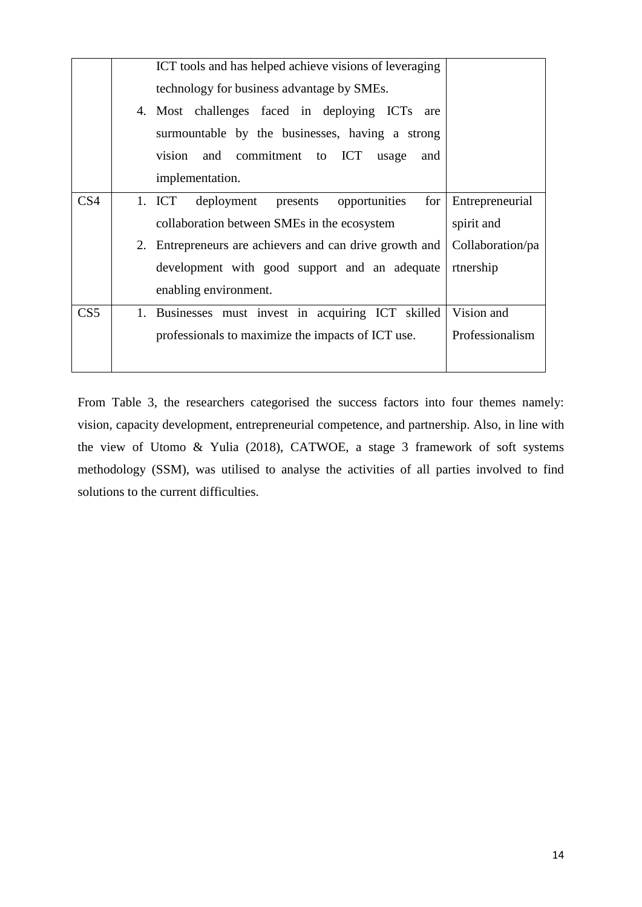|                 | ICT tools and has helped achieve visions of leveraging<br>technology for business advantage by SMEs.<br>4. Most challenges faced in deploying ICTs are<br>surmountable by the businesses, having a strong<br>and commitment to ICT<br>vision<br>usage<br>and<br>implementation. |                  |
|-----------------|---------------------------------------------------------------------------------------------------------------------------------------------------------------------------------------------------------------------------------------------------------------------------------|------------------|
| CS <sub>4</sub> |                                                                                                                                                                                                                                                                                 |                  |
|                 | 1. ICT deployment<br>presents<br>opportunities<br>for                                                                                                                                                                                                                           | Entrepreneurial  |
|                 | collaboration between SMEs in the ecosystem                                                                                                                                                                                                                                     | spirit and       |
|                 | 2. Entrepreneurs are achievers and can drive growth and                                                                                                                                                                                                                         | Collaboration/pa |
|                 | development with good support and an adequate                                                                                                                                                                                                                                   | rtnership        |
|                 | enabling environment.                                                                                                                                                                                                                                                           |                  |
| CS <sub>5</sub> | 1. Businesses must invest in acquiring ICT skilled                                                                                                                                                                                                                              | Vision and       |
|                 | professionals to maximize the impacts of ICT use.                                                                                                                                                                                                                               | Professionalism  |
|                 |                                                                                                                                                                                                                                                                                 |                  |

From Table 3, the researchers categorised the success factors into four themes namely: vision, capacity development, entrepreneurial competence, and partnership. Also, in line with the view of Utomo & Yulia (2018), CATWOE, a stage 3 framework of soft systems methodology (SSM), was utilised to analyse the activities of all parties involved to find solutions to the current difficulties.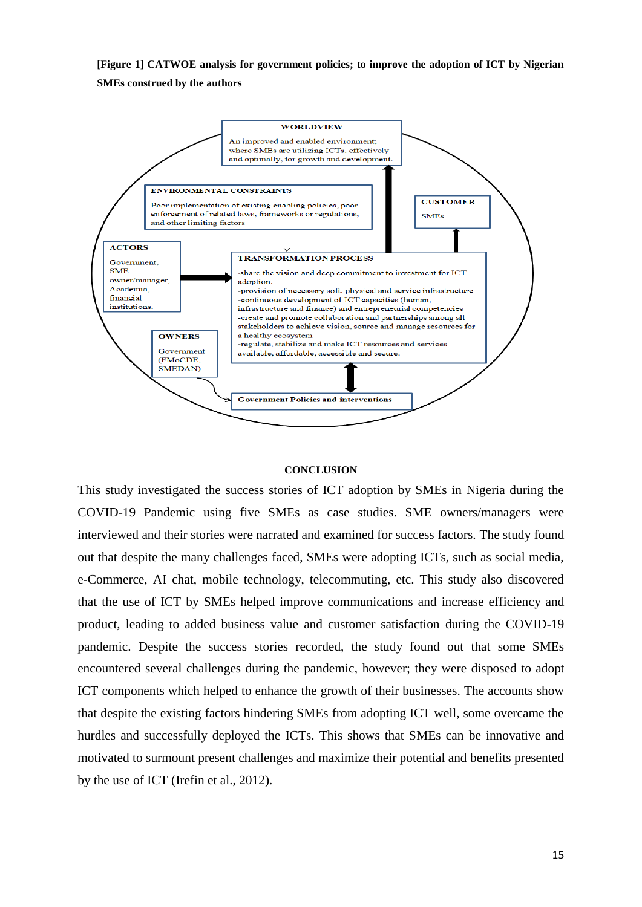**[Figure 1] CATWOE analysis for government policies; to improve the adoption of ICT by Nigerian SMEs construed by the authors**



#### **CONCLUSION**

This study investigated the success stories of ICT adoption by SMEs in Nigeria during the COVID-19 Pandemic using five SMEs as case studies. SME owners/managers were interviewed and their stories were narrated and examined for success factors. The study found out that despite the many challenges faced, SMEs were adopting ICTs, such as social media, e-Commerce, AI chat, mobile technology, telecommuting, etc. This study also discovered that the use of ICT by SMEs helped improve communications and increase efficiency and product, leading to added business value and customer satisfaction during the COVID-19 pandemic. Despite the success stories recorded, the study found out that some SMEs encountered several challenges during the pandemic, however; they were disposed to adopt ICT components which helped to enhance the growth of their businesses. The accounts show that despite the existing factors hindering SMEs from adopting ICT well, some overcame the hurdles and successfully deployed the ICTs. This shows that SMEs can be innovative and motivated to surmount present challenges and maximize their potential and benefits presented by the use of ICT (Irefin et al., 2012).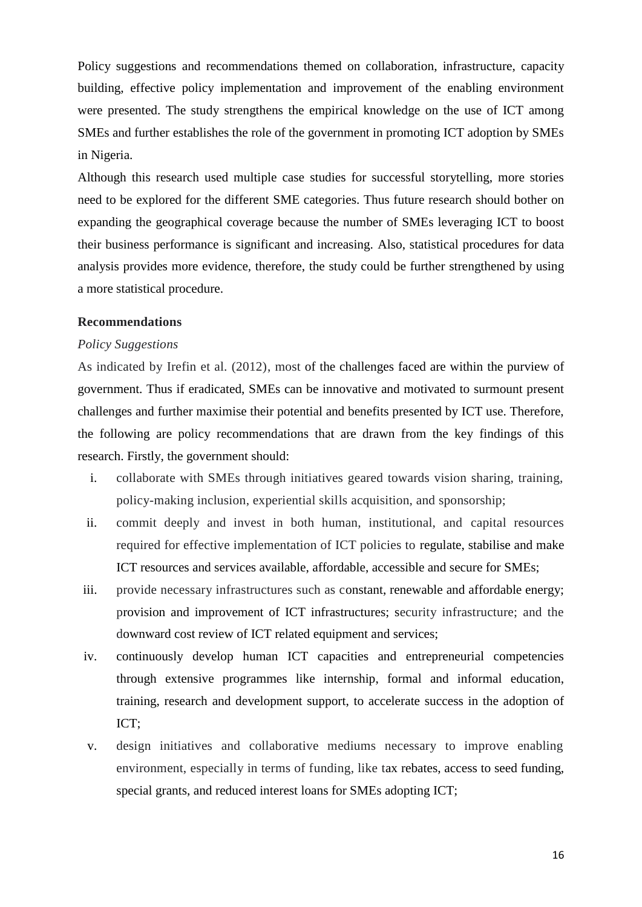Policy suggestions and recommendations themed on collaboration, infrastructure, capacity building, effective policy implementation and improvement of the enabling environment were presented. The study strengthens the empirical knowledge on the use of ICT among SMEs and further establishes the role of the government in promoting ICT adoption by SMEs in Nigeria.

Although this research used multiple case studies for successful storytelling, more stories need to be explored for the different SME categories. Thus future research should bother on expanding the geographical coverage because the number of SMEs leveraging ICT to boost their business performance is significant and increasing. Also, statistical procedures for data analysis provides more evidence, therefore, the study could be further strengthened by using a more statistical procedure.

### **Recommendations**

#### *Policy Suggestions*

As indicated by Irefin et al. (2012), most of the challenges faced are within the purview of government. Thus if eradicated, SMEs can be innovative and motivated to surmount present challenges and further maximise their potential and benefits presented by ICT use. Therefore, the following are policy recommendations that are drawn from the key findings of this research. Firstly, the government should:

- i. collaborate with SMEs through initiatives geared towards vision sharing, training, policy-making inclusion, experiential skills acquisition, and sponsorship;
- ii. commit deeply and invest in both human, institutional, and capital resources required for effective implementation of ICT policies to regulate, stabilise and make ICT resources and services available, affordable, accessible and secure for SMEs;
- iii. provide necessary infrastructures such as constant, renewable and affordable energy; provision and improvement of ICT infrastructures; security infrastructure; and the downward cost review of ICT related equipment and services;
- iv. continuously develop human ICT capacities and entrepreneurial competencies through extensive programmes like internship, formal and informal education, training, research and development support, to accelerate success in the adoption of ICT;
- v. design initiatives and collaborative mediums necessary to improve enabling environment, especially in terms of funding, like tax rebates, access to seed funding, special grants, and reduced interest loans for SMEs adopting ICT;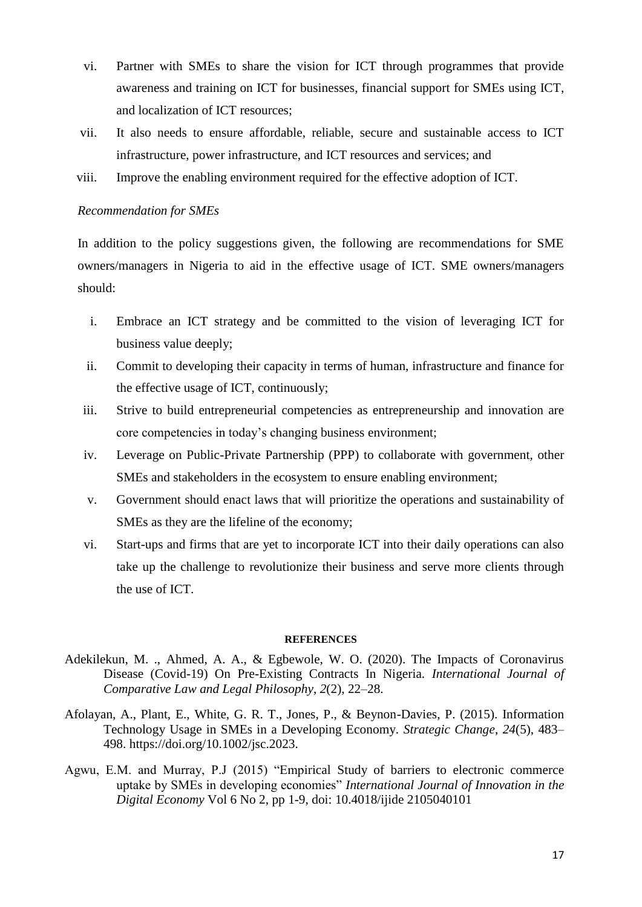- vi. Partner with SMEs to share the vision for ICT through programmes that provide awareness and training on ICT for businesses, financial support for SMEs using ICT, and localization of ICT resources;
- vii. It also needs to ensure affordable, reliable, secure and sustainable access to ICT infrastructure, power infrastructure, and ICT resources and services; and
- viii. Improve the enabling environment required for the effective adoption of ICT.

## *Recommendation for SMEs*

In addition to the policy suggestions given, the following are recommendations for SME owners/managers in Nigeria to aid in the effective usage of ICT. SME owners/managers should:

- i. Embrace an ICT strategy and be committed to the vision of leveraging ICT for business value deeply;
- ii. Commit to developing their capacity in terms of human, infrastructure and finance for the effective usage of ICT, continuously;
- iii. Strive to build entrepreneurial competencies as entrepreneurship and innovation are core competencies in today's changing business environment;
- iv. Leverage on Public-Private Partnership (PPP) to collaborate with government, other SMEs and stakeholders in the ecosystem to ensure enabling environment;
- v. Government should enact laws that will prioritize the operations and sustainability of SMEs as they are the lifeline of the economy;
- vi. Start-ups and firms that are yet to incorporate ICT into their daily operations can also take up the challenge to revolutionize their business and serve more clients through the use of ICT.

#### **REFERENCES**

- Adekilekun, M. ., Ahmed, A. A., & Egbewole, W. O. (2020). The Impacts of Coronavirus Disease (Covid-19) On Pre-Existing Contracts In Nigeria. *International Journal of Comparative Law and Legal Philosophy*, *2*(2), 22–28.
- Afolayan, A., Plant, E., White, G. R. T., Jones, P., & Beynon-Davies, P. (2015). Information Technology Usage in SMEs in a Developing Economy. *Strategic Change*, *24*(5), 483– 498. https://doi.org/10.1002/jsc.2023.
- Agwu, E.M. and Murray, P.J (2015) "Empirical Study of barriers to electronic commerce uptake by SMEs in developing economies" *International Journal of Innovation in the Digital Economy* Vol 6 No 2, pp 1-9, doi: 10.4018/ijide 2105040101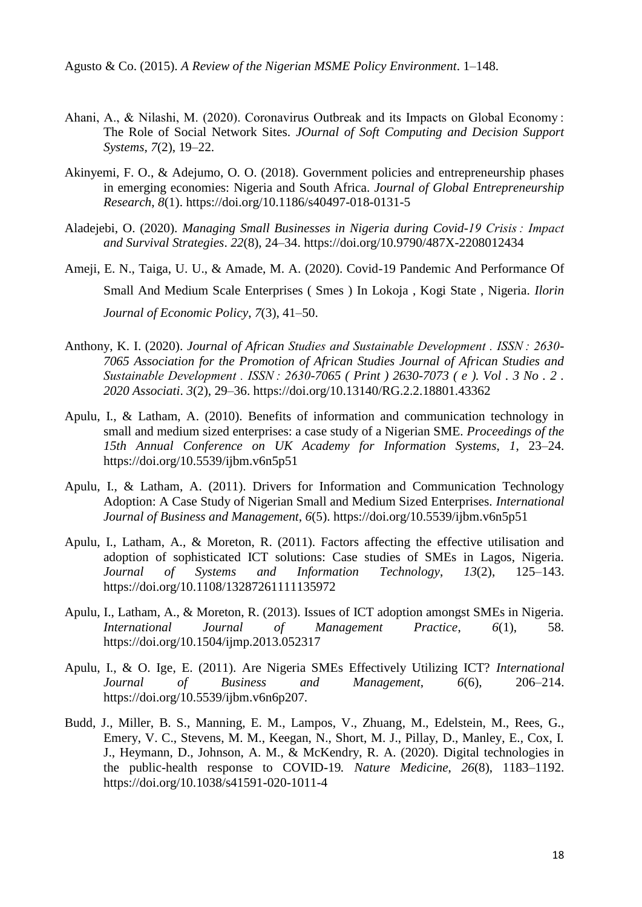Agusto & Co. (2015). *A Review of the Nigerian MSME Policy Environment*. 1–148.

- Ahani, A., & Nilashi, M. (2020). Coronavirus Outbreak and its Impacts on Global Economy : The Role of Social Network Sites. *JOurnal of Soft Computing and Decision Support Systems*, *7*(2), 19–22.
- Akinyemi, F. O., & Adejumo, O. O. (2018). Government policies and entrepreneurship phases in emerging economies: Nigeria and South Africa. *Journal of Global Entrepreneurship Research*, *8*(1). https://doi.org/10.1186/s40497-018-0131-5
- Aladejebi, O. (2020). *Managing Small Businesses in Nigeria during Covid-19 Crisis : Impact and Survival Strategies*. *22*(8), 24–34. https://doi.org/10.9790/487X-2208012434
- Ameji, E. N., Taiga, U. U., & Amade, M. A. (2020). Covid-19 Pandemic And Performance Of Small And Medium Scale Enterprises ( Smes ) In Lokoja , Kogi State , Nigeria. *Ilorin Journal of Economic Policy*, *7*(3), 41–50.
- Anthony, K. I. (2020). *Journal of African Studies and Sustainable Development . ISSN : 2630- 7065 Association for the Promotion of African Studies Journal of African Studies and Sustainable Development . ISSN : 2630-7065 ( Print ) 2630-7073 ( e ). Vol . 3 No . 2 . 2020 Associati*. *3*(2), 29–36. https://doi.org/10.13140/RG.2.2.18801.43362
- Apulu, I., & Latham, A. (2010). Benefits of information and communication technology in small and medium sized enterprises: a case study of a Nigerian SME. *Proceedings of the 15th Annual Conference on UK Academy for Information Systems*, *1*, 23–24. https://doi.org/10.5539/ijbm.v6n5p51
- Apulu, I., & Latham, A. (2011). Drivers for Information and Communication Technology Adoption: A Case Study of Nigerian Small and Medium Sized Enterprises. *International Journal of Business and Management*, *6*(5). https://doi.org/10.5539/ijbm.v6n5p51
- Apulu, I., Latham, A., & Moreton, R. (2011). Factors affecting the effective utilisation and adoption of sophisticated ICT solutions: Case studies of SMEs in Lagos, Nigeria. *Journal of Systems and Information Technology*, *13*(2), 125–143. https://doi.org/10.1108/13287261111135972
- Apulu, I., Latham, A., & Moreton, R. (2013). Issues of ICT adoption amongst SMEs in Nigeria. *International Journal of Management Practice*, *6*(1), 58. https://doi.org/10.1504/ijmp.2013.052317
- Apulu, I., & O. Ige, E. (2011). Are Nigeria SMEs Effectively Utilizing ICT? *International Journal of Business and Management*, *6*(6), 206–214. https://doi.org/10.5539/ijbm.v6n6p207.
- Budd, J., Miller, B. S., Manning, E. M., Lampos, V., Zhuang, M., Edelstein, M., Rees, G., Emery, V. C., Stevens, M. M., Keegan, N., Short, M. J., Pillay, D., Manley, E., Cox, I. J., Heymann, D., Johnson, A. M., & McKendry, R. A. (2020). Digital technologies in the public-health response to COVID-19*. Nature Medicine*, *26*(8), 1183–1192. https://doi.org/10.1038/s41591-020-1011-4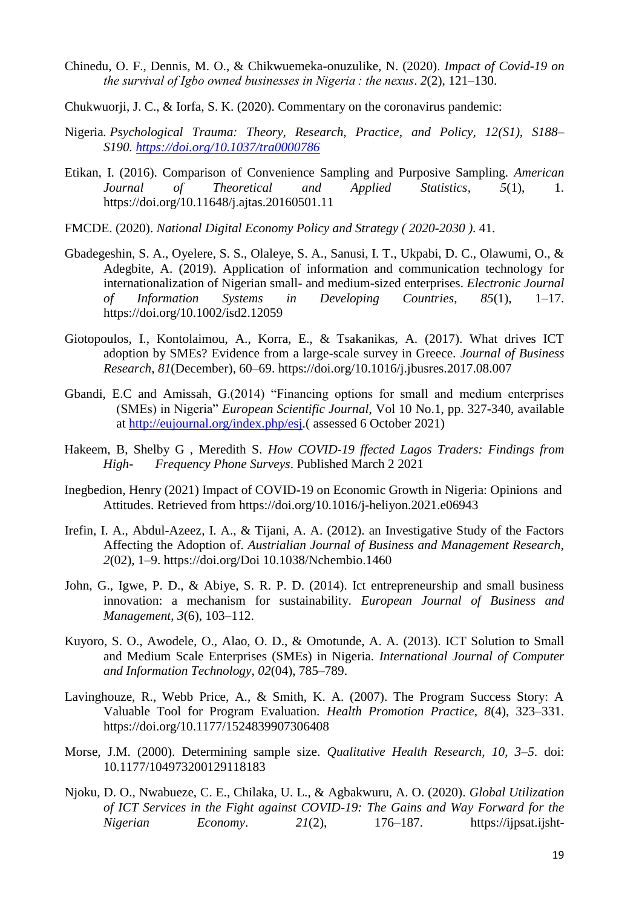- Chinedu, O. F., Dennis, M. O., & Chikwuemeka-onuzulike, N. (2020). *Impact of Covid-19 on the survival of Igbo owned businesses in Nigeria : the nexus*. *2*(2), 121–130.
- Chukwuorji, J. C., & Iorfa, S. K. (2020). Commentary on the coronavirus pandemic:
- Nigeria*. Psychological Trauma: Theory, Research, Practice, and Policy, 12(S1), S188– S190. [https://doi.org/10.1037/tra0000786](https://psycnet.apa.org/doi/10.1037/tra0000786)*
- Etikan, I. (2016). Comparison of Convenience Sampling and Purposive Sampling. *American Journal of Theoretical and Applied Statistics*, *5*(1), 1. https://doi.org/10.11648/j.ajtas.20160501.11
- FMCDE. (2020). *National Digital Economy Policy and Strategy ( 2020-2030 )*. 41.
- Gbadegeshin, S. A., Oyelere, S. S., Olaleye, S. A., Sanusi, I. T., Ukpabi, D. C., Olawumi, O., & Adegbite, A. (2019). Application of information and communication technology for internationalization of Nigerian small- and medium-sized enterprises. *Electronic Journal of Information Systems in Developing Countries*, *85*(1), 1–17. https://doi.org/10.1002/isd2.12059
- Giotopoulos, I., Kontolaimou, A., Korra, E., & Tsakanikas, A. (2017). What drives ICT adoption by SMEs? Evidence from a large-scale survey in Greece. *Journal of Business Research*, *81*(December), 60–69. https://doi.org/10.1016/j.jbusres.2017.08.007
- Gbandi, E.C and Amissah, G.(2014) "Financing options for small and medium enterprises (SMEs) in Nigeria" *European Scientific Journal*, Vol 10 No.1, pp. 327-340, available at [http://eujournal.org/index.php/esj.](http://eujournal.org/index.php/esj)( assessed 6 October 2021)
- Hakeem, B, Shelby G , Meredith S. *How COVID-19 ffected Lagos Traders: Findings from High- Frequency Phone Surveys*. Published March 2 2021
- Inegbedion, Henry (2021) Impact of COVID-19 on Economic Growth in Nigeria: Opinions and Attitudes. Retrieved from https://doi.org/10.1016/j-heliyon.2021.e06943
- Irefin, I. A., Abdul-Azeez, I. A., & Tijani, A. A. (2012). an Investigative Study of the Factors Affecting the Adoption of. *Austrialian Journal of Business and Management Research*, *2*(02), 1–9. https://doi.org/Doi 10.1038/Nchembio.1460
- John, G., Igwe, P. D., & Abiye, S. R. P. D. (2014). Ict entrepreneurship and small business innovation: a mechanism for sustainability. *European Journal of Business and Management*, *3*(6), 103–112.
- Kuyoro, S. O., Awodele, O., Alao, O. D., & Omotunde, A. A. (2013). ICT Solution to Small and Medium Scale Enterprises (SMEs) in Nigeria. *International Journal of Computer and Information Technology*, *02*(04), 785–789.
- Lavinghouze, R., Webb Price, A., & Smith, K. A. (2007). The Program Success Story: A Valuable Tool for Program Evaluation. *Health Promotion Practice*, *8*(4), 323–331. https://doi.org/10.1177/1524839907306408
- Morse, J.M. (2000). Determining sample size. *Qualitative Health Research, 10, 3–5*. doi: 10.1177/104973200129118183
- Njoku, D. O., Nwabueze, C. E., Chilaka, U. L., & Agbakwuru, A. O. (2020). *Global Utilization of ICT Services in the Fight against COVID-19: The Gains and Way Forward for the Nigerian Economy*. *21*(2), 176–187. https://ijpsat.ijsht-